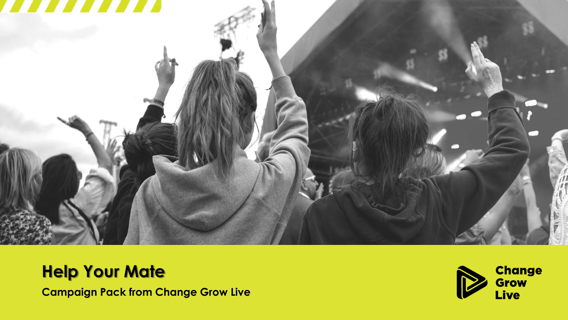

## **Help Your Mate**

**Campaign Pack from Change Grow Live**

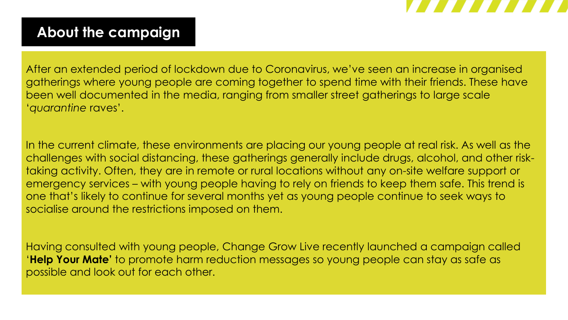

### **About the campaign**

After an extended period of lockdown due to Coronavirus, we've seen an increase in organised gatherings where young people are coming together to spend time with their friends. These have been well documented in the media, ranging from smaller street gatherings to large scale '*quarantine* raves'.

In the current climate, these environments are placing our young people at real risk. As well as the challenges with social distancing, these gatherings generally include drugs, alcohol, and other risktaking activity. Often, they are in remote or rural locations without any on-site welfare support or emergency services – with young people having to rely on friends to keep them safe. This trend is one that's likely to continue for several months yet as young people continue to seek ways to socialise around the restrictions imposed on them.

Having consulted with young people, Change Grow Live recently launched a campaign called '**Help Your Mate'** to promote harm reduction messages so young people can stay as safe as possible and look out for each other.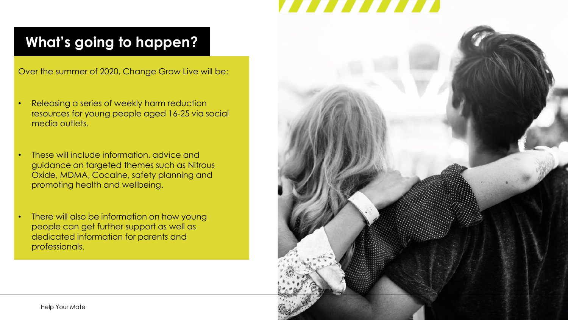# 7777777

## **What's going to happen?**

Over the summer of 2020, Change Grow Live will be:

- Releasing a series of weekly harm reduction resources for young people aged 16-25 via social media outlets.
- These will include information, advice and guidance on targeted themes such as Nitrous Oxide, MDMA, Cocaine, safety planning and promoting health and wellbeing.
- There will also be information on how young people can get further support as well as dedicated information for parents and professionals.

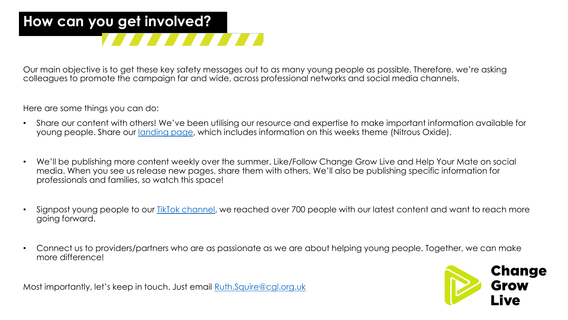# **How can you get involved?**

Our main objective is to get these key safety messages out to as many young people as possible. Therefore, we're asking colleagues to promote the campaign far and wide, across professional networks and social media channels.

Here are some things you can do:

- Share our content with others! We've been utilising our resource and expertise to make important information available for young people. Share our [landing page,](https://www.changegrowlive.org/help-your-mate) which includes information on this weeks theme (Nitrous Oxide).
- We'll be publishing more content weekly over the summer. Like/Follow Change Grow Live and Help Your Mate on social media. When you see us release new pages, share them with others. We'll also be publishing specific information for professionals and families, so watch this space!
- Signpost young people to our TikTok [channel](https://www.tiktok.com/@helpyourmate), we reached over 700 people with our latest content and want to reach more going forward.
- Connect us to providers/partners who are as passionate as we are about helping young people. Together, we can make more difference!

**Change Grow** 

Most importantly, let's keep in touch. Just email [Ruth.Squire@cgl.org.uk](mailto:Ruth.Squire@cgl.org.uk)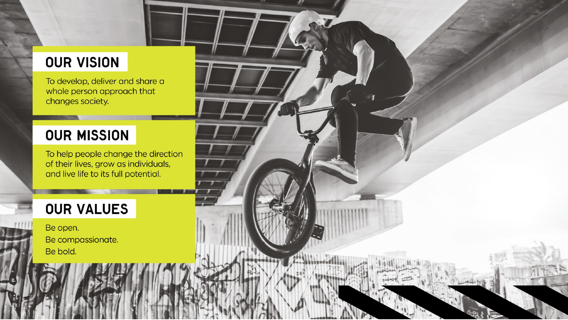### **OUR VISION**

To develop, deliver and share a whole person approach that changes society.

#### **OUR MISSION**

To help people change the direction of their lives, grow as individuals, and live life to its full potential.

### **OUR VALUES**

Be open. Be compassionate. Be bold.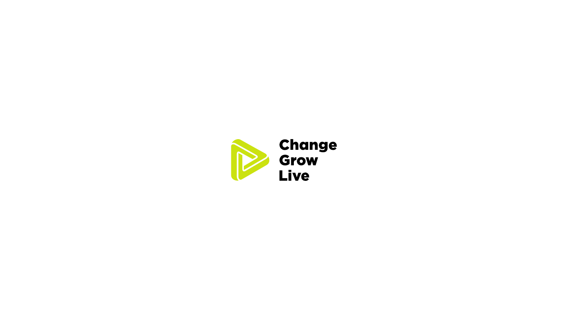